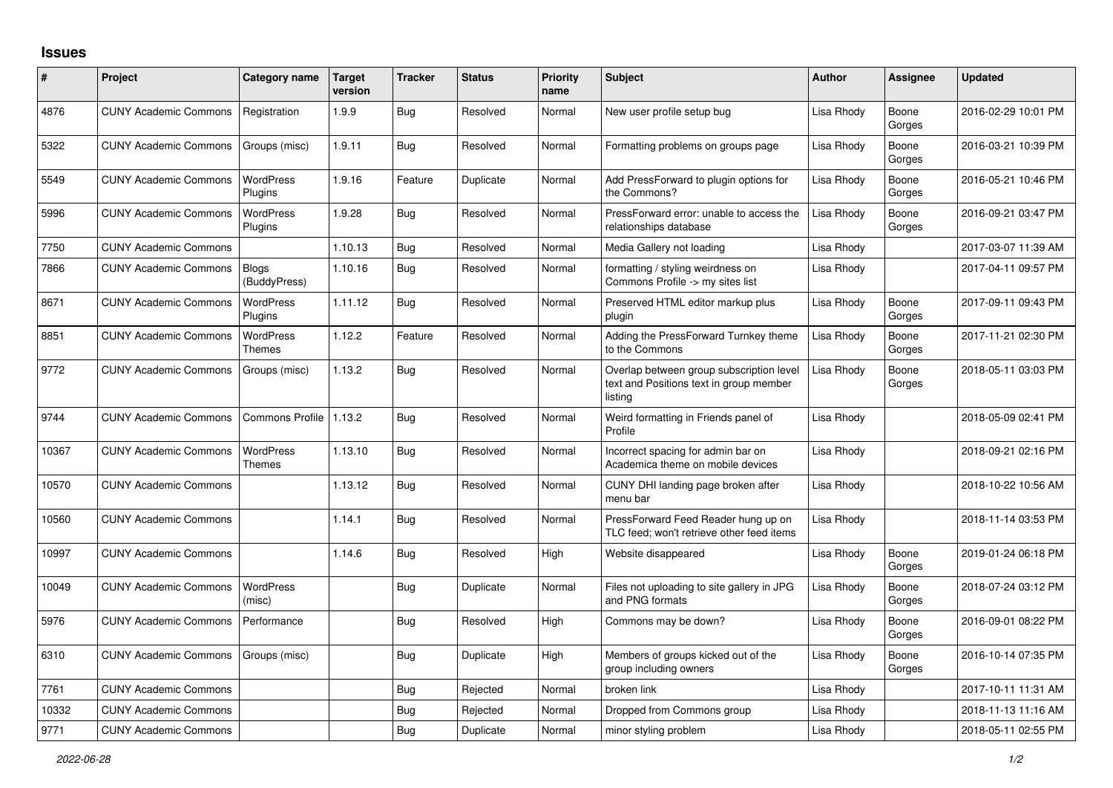## **Issues**

| ∦     | Project                      | Category name                     | Target<br>version | <b>Tracker</b> | <b>Status</b> | <b>Priority</b><br>name | <b>Subject</b>                                                                                 | <b>Author</b> | Assignee        | <b>Updated</b>      |
|-------|------------------------------|-----------------------------------|-------------------|----------------|---------------|-------------------------|------------------------------------------------------------------------------------------------|---------------|-----------------|---------------------|
| 4876  | <b>CUNY Academic Commons</b> | Registration                      | 1.9.9             | Bug            | Resolved      | Normal                  | New user profile setup bug                                                                     | Lisa Rhody    | Boone<br>Gorges | 2016-02-29 10:01 PM |
| 5322  | <b>CUNY Academic Commons</b> | Groups (misc)                     | 1.9.11            | Bug            | Resolved      | Normal                  | Formatting problems on groups page                                                             | Lisa Rhody    | Boone<br>Gorges | 2016-03-21 10:39 PM |
| 5549  | <b>CUNY Academic Commons</b> | <b>WordPress</b><br>Plugins       | 1.9.16            | Feature        | Duplicate     | Normal                  | Add PressForward to plugin options for<br>the Commons?                                         | Lisa Rhody    | Boone<br>Gorges | 2016-05-21 10:46 PM |
| 5996  | <b>CUNY Academic Commons</b> | <b>WordPress</b><br>Plugins       | 1.9.28            | <b>Bug</b>     | Resolved      | Normal                  | PressForward error: unable to access the<br>relationships database                             | Lisa Rhody    | Boone<br>Gorges | 2016-09-21 03:47 PM |
| 7750  | <b>CUNY Academic Commons</b> |                                   | 1.10.13           | Bug            | Resolved      | Normal                  | Media Gallery not loading                                                                      | Lisa Rhody    |                 | 2017-03-07 11:39 AM |
| 7866  | <b>CUNY Academic Commons</b> | <b>Blogs</b><br>(BuddyPress)      | 1.10.16           | <b>Bug</b>     | Resolved      | Normal                  | formatting / styling weirdness on<br>Commons Profile -> my sites list                          | Lisa Rhody    |                 | 2017-04-11 09:57 PM |
| 8671  | <b>CUNY Academic Commons</b> | <b>WordPress</b><br>Plugins       | 1.11.12           | Bug            | Resolved      | Normal                  | Preserved HTML editor markup plus<br>plugin                                                    | Lisa Rhody    | Boone<br>Gorges | 2017-09-11 09:43 PM |
| 8851  | <b>CUNY Academic Commons</b> | <b>WordPress</b><br><b>Themes</b> | 1.12.2            | Feature        | Resolved      | Normal                  | Adding the PressForward Turnkey theme<br>to the Commons                                        | Lisa Rhody    | Boone<br>Gorges | 2017-11-21 02:30 PM |
| 9772  | <b>CUNY Academic Commons</b> | Groups (misc)                     | 1.13.2            | Bug            | Resolved      | Normal                  | Overlap between group subscription level<br>text and Positions text in group member<br>listing | Lisa Rhody    | Boone<br>Gorges | 2018-05-11 03:03 PM |
| 9744  | <b>CUNY Academic Commons</b> | <b>Commons Profile</b>            | 1.13.2            | Bug            | Resolved      | Normal                  | Weird formatting in Friends panel of<br>Profile                                                | Lisa Rhody    |                 | 2018-05-09 02:41 PM |
| 10367 | <b>CUNY Academic Commons</b> | <b>WordPress</b><br><b>Themes</b> | 1.13.10           | Bug            | Resolved      | Normal                  | Incorrect spacing for admin bar on<br>Academica theme on mobile devices                        | Lisa Rhody    |                 | 2018-09-21 02:16 PM |
| 10570 | <b>CUNY Academic Commons</b> |                                   | 1.13.12           | Bug            | Resolved      | Normal                  | CUNY DHI landing page broken after<br>menu bar                                                 | Lisa Rhody    |                 | 2018-10-22 10:56 AM |
| 10560 | <b>CUNY Academic Commons</b> |                                   | 1.14.1            | <b>Bug</b>     | Resolved      | Normal                  | PressForward Feed Reader hung up on<br>TLC feed; won't retrieve other feed items               | Lisa Rhody    |                 | 2018-11-14 03:53 PM |
| 10997 | <b>CUNY Academic Commons</b> |                                   | 1.14.6            | Bug            | Resolved      | High                    | Website disappeared                                                                            | Lisa Rhody    | Boone<br>Gorges | 2019-01-24 06:18 PM |
| 10049 | <b>CUNY Academic Commons</b> | <b>WordPress</b><br>(misc)        |                   | Bug            | Duplicate     | Normal                  | Files not uploading to site gallery in JPG<br>and PNG formats                                  | Lisa Rhody    | Boone<br>Gorges | 2018-07-24 03:12 PM |
| 5976  | <b>CUNY Academic Commons</b> | Performance                       |                   | Bug            | Resolved      | High                    | Commons may be down?                                                                           | Lisa Rhody    | Boone<br>Gorges | 2016-09-01 08:22 PM |
| 6310  | <b>CUNY Academic Commons</b> | Groups (misc)                     |                   | Bug            | Duplicate     | High                    | Members of groups kicked out of the<br>group including owners                                  | Lisa Rhody    | Boone<br>Gorges | 2016-10-14 07:35 PM |
| 7761  | <b>CUNY Academic Commons</b> |                                   |                   | Bug            | Rejected      | Normal                  | broken link                                                                                    | Lisa Rhody    |                 | 2017-10-11 11:31 AM |
| 10332 | <b>CUNY Academic Commons</b> |                                   |                   | Bug            | Rejected      | Normal                  | Dropped from Commons group                                                                     | Lisa Rhody    |                 | 2018-11-13 11:16 AM |
| 9771  | <b>CUNY Academic Commons</b> |                                   |                   | Bug            | Duplicate     | Normal                  | minor styling problem                                                                          | Lisa Rhody    |                 | 2018-05-11 02:55 PM |